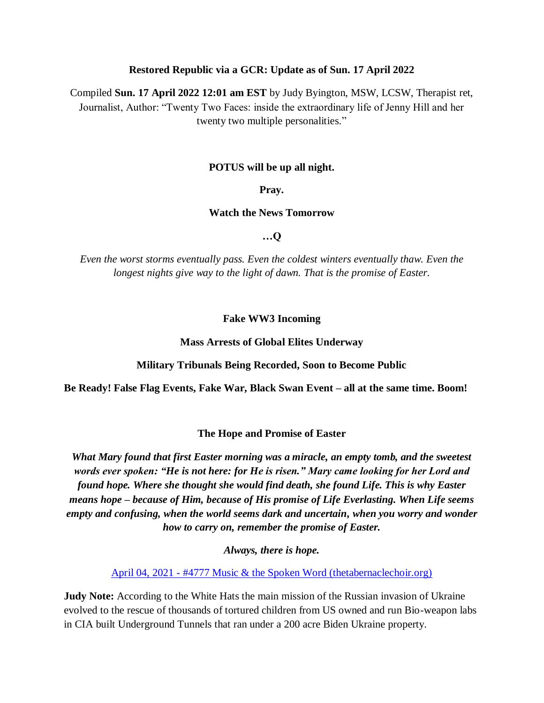#### **Restored Republic via a GCR: Update as of Sun. 17 April 2022**

Compiled **Sun. 17 April 2022 12:01 am EST** by Judy Byington, MSW, LCSW, Therapist ret, Journalist, Author: "Twenty Two Faces: inside the extraordinary life of Jenny Hill and her twenty two multiple personalities."

#### **POTUS will be up all night.**

**Pray.** 

**Watch the News Tomorrow**

**…Q**

*Even the worst storms eventually pass. Even the coldest winters eventually thaw. Even the longest nights give way to the light of dawn. That is the promise of Easter.*

#### **Fake WW3 Incoming**

**Mass Arrests of Global Elites Underway**

**Military Tribunals Being Recorded, Soon to Become Public**

**Be Ready! False Flag Events, Fake War, Black Swan Event – all at the same time. Boom!**

#### **The Hope and Promise of Easter**

*What Mary found that first Easter morning was a miracle, an empty tomb, and the sweetest words ever spoken: "He is not here: for He is risen." Mary came looking for her Lord and found hope. Where she thought she would find death, she found Life. This is why Easter means hope – because of Him, because of His promise of Life Everlasting. When Life seems empty and confusing, when the world seems dark and uncertain, when you worry and wonder how to carry on, remember the promise of Easter.* 

*Always, there is hope.*

April 04, 2021 - [#4777 Music & the Spoken Word \(thetabernaclechoir.org\)](https://www.thetabernaclechoir.org/videos/april-04-2021-4777-music-and-the-spoken-word.html)

**Judy Note:** According to the White Hats the main mission of the Russian invasion of Ukraine evolved to the rescue of thousands of tortured children from US owned and run Bio-weapon labs in CIA built Underground Tunnels that ran under a 200 acre Biden Ukraine property.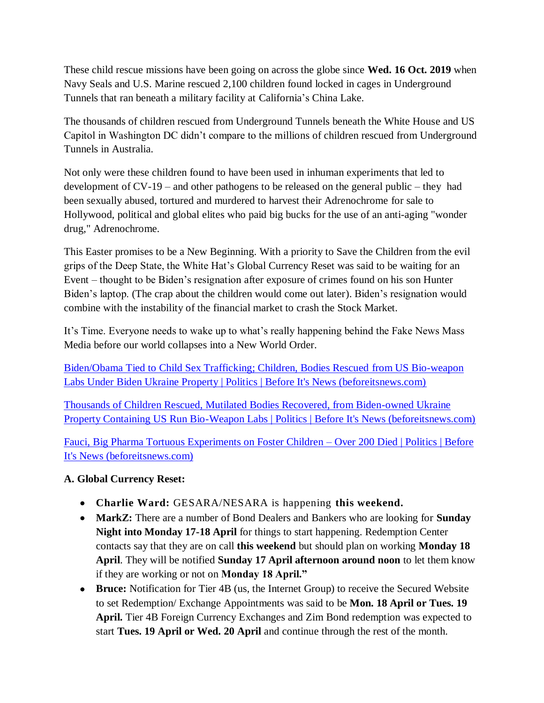These child rescue missions have been going on across the globe since **Wed. 16 Oct. 2019** when Navy Seals and U.S. Marine rescued 2,100 children found locked in cages in Underground Tunnels that ran beneath a military facility at California's China Lake.

The thousands of children rescued from Underground Tunnels beneath the White House and US Capitol in Washington DC didn't compare to the millions of children rescued from Underground Tunnels in Australia.

Not only were these children found to have been used in inhuman experiments that led to development of CV-19 – and other pathogens to be released on the general public – they had been sexually abused, tortured and murdered to harvest their Adrenochrome for sale to Hollywood, political and global elites who paid big bucks for the use of an anti-aging "wonder drug," Adrenochrome.

This Easter promises to be a New Beginning. With a priority to Save the Children from the evil grips of the Deep State, the White Hat's Global Currency Reset was said to be waiting for an Event – thought to be Biden's resignation after exposure of crimes found on his son Hunter Biden's laptop. (The crap about the children would come out later). Biden's resignation would combine with the instability of the financial market to crash the Stock Market.

It's Time. Everyone needs to wake up to what's really happening behind the Fake News Mass Media before our world collapses into a New World Order.

[Biden/Obama Tied to Child Sex Trafficking; Children, Bodies Rescued from US Bio-weapon](https://beforeitsnews.com/politics/2022/04/bidenobama-tied-to-child-sex-trafficking-children-bodies-rescued-from-us-bio-weapon-labs-under-biden-ukraine-property-3259928.html)  [Labs Under Biden Ukraine Property | Politics | Before It's News \(beforeitsnews.com\)](https://beforeitsnews.com/politics/2022/04/bidenobama-tied-to-child-sex-trafficking-children-bodies-rescued-from-us-bio-weapon-labs-under-biden-ukraine-property-3259928.html)

[Thousands of Children Rescued, Mutilated Bodies Recovered, from Biden-owned Ukraine](https://beforeitsnews.com/politics/2022/04/thousands-of-children-rescued-mutilated-bodies-recovered-from-biden-owned-ukraine-property-containing-us-run-bio-weapon-labs-3259889.html)  [Property Containing US Run Bio-Weapon Labs | Politics | Before It's News \(beforeitsnews.com\)](https://beforeitsnews.com/politics/2022/04/thousands-of-children-rescued-mutilated-bodies-recovered-from-biden-owned-ukraine-property-containing-us-run-bio-weapon-labs-3259889.html)

[Fauci, Big Pharma Tortuous Experiments on Foster Children –](https://beforeitsnews.com/politics/2021/10/fauci-big-pharma-tortuous-experiments-on-foster-children-over-200-died-3247518.html) Over 200 Died | Politics | Before [It's News \(beforeitsnews.com\)](https://beforeitsnews.com/politics/2021/10/fauci-big-pharma-tortuous-experiments-on-foster-children-over-200-died-3247518.html)

# **A. Global Currency Reset:**

- **Charlie Ward:** GESARA/NESARA is happening **this weekend.**
- **MarkZ:** There are a number of Bond Dealers and Bankers who are looking for **Sunday Night into Monday 17-18 April** for things to start happening. Redemption Center contacts say that they are on call **this weekend** but should plan on working **Monday 18 April**. They will be notified **Sunday 17 April afternoon around noon** to let them know if they are working or not on **Monday 18 April."**
- **Bruce:** Notification for Tier 4B (us, the Internet Group) to receive the Secured Website to set Redemption/ Exchange Appointments was said to be **Mon. 18 April or Tues. 19 April.** Tier 4B Foreign Currency Exchanges and Zim Bond redemption was expected to start **Tues. 19 April or Wed. 20 April** and continue through the rest of the month.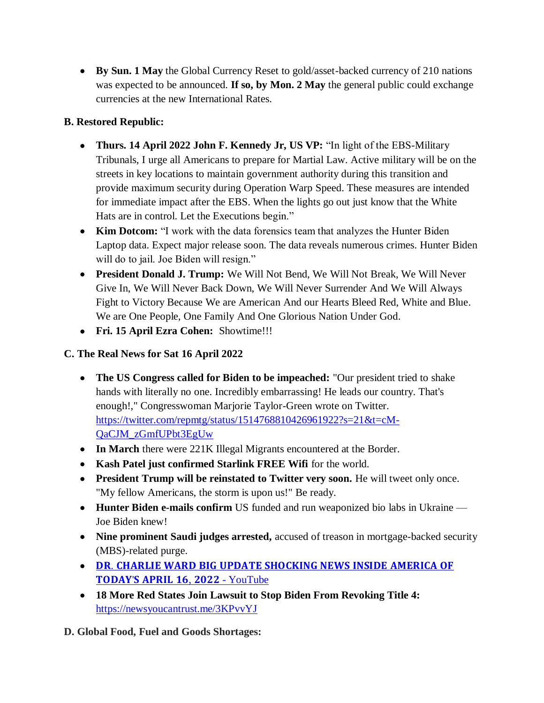**By Sun. 1 May** the Global Currency Reset to gold/asset-backed currency of 210 nations was expected to be announced. **If so, by Mon. 2 May** the general public could exchange currencies at the new International Rates.

# **B. Restored Republic:**

- **Thurs. 14 April 2022 John F. Kennedy Jr, US VP:** "In light of the EBS-Military" Tribunals, I urge all Americans to prepare for Martial Law. Active military will be on the streets in key locations to maintain government authority during this transition and provide maximum security during Operation Warp Speed. These measures are intended for immediate impact after the EBS. When the lights go out just know that the White Hats are in control. Let the Executions begin."
- Kim Dotcom: "I work with the data forensics team that analyzes the Hunter Biden Laptop data. Expect major release soon. The data reveals numerous crimes. Hunter Biden will do to jail. Joe Biden will resign."
- **President Donald J. Trump:** We Will Not Bend, We Will Not Break, We Will Never Give In, We Will Never Back Down, We Will Never Surrender And We Will Always Fight to Victory Because We are American And our Hearts Bleed Red, White and Blue. We are One People, One Family And One Glorious Nation Under God.
- **Fri. 15 April Ezra Cohen:** Showtime!!!

# **C. The Real News for Sat 16 April 2022**

- **The US Congress called for Biden to be impeached:** "Our president tried to shake hands with literally no one. Incredibly embarrassing! He leads our country. That's enough!," Congresswoman Marjorie Taylor-Green wrote on Twitter. [https://twitter.com/repmtg/status/1514768810426961922?s=21&t=cM-](https://twitter.com/repmtg/status/1514768810426961922?s=21&t=cM-QaCJM_zGmfUPbt3EgUw)[QaCJM\\_zGmfUPbt3EgUw](https://twitter.com/repmtg/status/1514768810426961922?s=21&t=cM-QaCJM_zGmfUPbt3EgUw)
- In March there were 221K Illegal Migrants encountered at the Border.
- **Kash Patel just confirmed Starlink FREE Wifi** for the world.
- **President Trump will be reinstated to Twitter very soon.** He will tweet only once. "My fellow Americans, the storm is upon us!" Be ready.
- **Hunter Biden e-mails confirm** US funded and run weaponized bio labs in Ukraine Joe Biden knew!
- **Nine prominent Saudi judges arrested,** accused of treason in mortgage-backed security (MBS)-related purge.
- DR. CHARLIE WARD BIG UPDATE SHOCKING NEWS INSIDE AMERICA OF TODAY'S APRIL 16, 2022 - [YouTube](https://www.youtube.com/watch?v=3kx2p0FJRi4)
- **18 More Red States Join Lawsuit to Stop Biden From Revoking Title 4:**  <https://newsyoucantrust.me/3KPvvYJ>

**D. Global Food, Fuel and Goods Shortages:**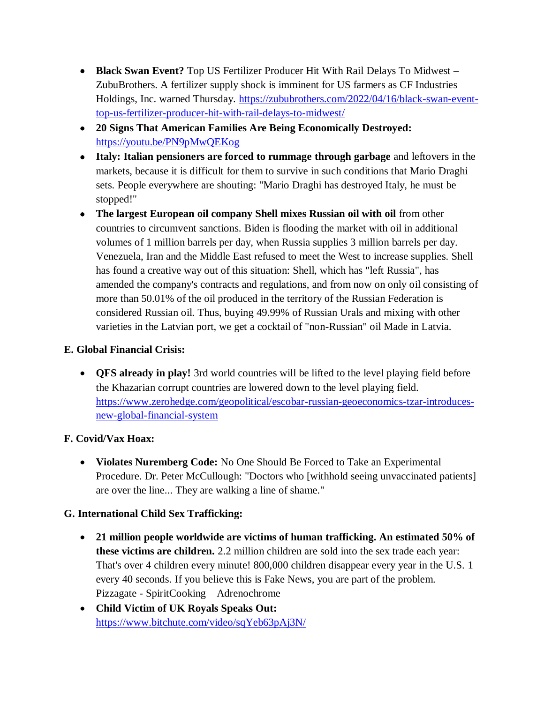- **Black Swan Event?** Top US Fertilizer Producer Hit With Rail Delays To Midwest ZubuBrothers. A fertilizer supply shock is imminent for US farmers as CF Industries Holdings, Inc. warned Thursday. [https://zububrothers.com/2022/04/16/black-swan-event](https://zububrothers.com/2022/04/16/black-swan-event-top-us-fertilizer-producer-hit-with-rail-delays-to-midwest/)[top-us-fertilizer-producer-hit-with-rail-delays-to-midwest/](https://zububrothers.com/2022/04/16/black-swan-event-top-us-fertilizer-producer-hit-with-rail-delays-to-midwest/)
- **20 Signs That American Families Are Being Economically Destroyed:**  <https://youtu.be/PN9pMwQEKog>
- **Italy: Italian pensioners are forced to rummage through garbage** and leftovers in the markets, because it is difficult for them to survive in such conditions that Mario Draghi sets. People everywhere are shouting: "Mario Draghi has destroyed Italy, he must be stopped!"
- **The largest European oil company Shell mixes Russian oil with oil** from other countries to circumvent sanctions. Biden is flooding the market with oil in additional volumes of 1 million barrels per day, when Russia supplies 3 million barrels per day. Venezuela, Iran and the Middle East refused to meet the West to increase supplies. Shell has found a creative way out of this situation: Shell, which has "left Russia", has amended the company's contracts and regulations, and from now on only oil consisting of more than 50.01% of the oil produced in the territory of the Russian Federation is considered Russian oil. Thus, buying 49.99% of Russian Urals and mixing with other varieties in the Latvian port, we get a cocktail of "non-Russian" oil Made in Latvia.

# **E. Global Financial Crisis:**

• **QFS already in play!** 3rd world countries will be lifted to the level playing field before the Khazarian corrupt countries are lowered down to the level playing field. [https://www.zerohedge.com/geopolitical/escobar-russian-geoeconomics-tzar-introduces](https://www.zerohedge.com/geopolitical/escobar-russian-geoeconomics-tzar-introduces-new-global-financial-system)[new-global-financial-system](https://www.zerohedge.com/geopolitical/escobar-russian-geoeconomics-tzar-introduces-new-global-financial-system)

# **F. Covid/Vax Hoax:**

 **Violates Nuremberg Code:** No One Should Be Forced to Take an Experimental Procedure. Dr. Peter McCullough: "Doctors who [withhold seeing unvaccinated patients] are over the line... They are walking a line of shame."

# **G. International Child Sex Trafficking:**

- **21 million people worldwide are victims of human trafficking. An estimated 50% of these victims are children.** 2.2 million children are sold into the sex trade each year: That's over 4 children every minute! 800,000 children disappear every year in the U.S. 1 every 40 seconds. If you believe this is Fake News, you are part of the problem. Pizzagate - SpiritCooking – Adrenochrome
- **Child Victim of UK Royals Speaks Out:**  <https://www.bitchute.com/video/sqYeb63pAj3N/>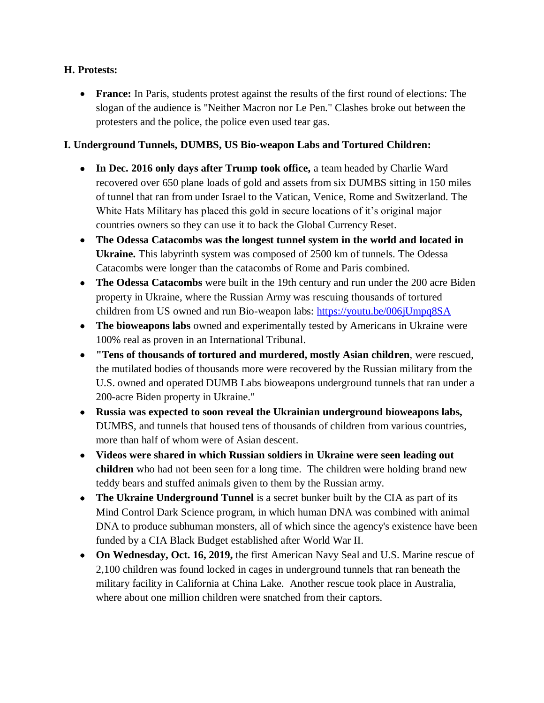## **H. Protests:**

 **France:** In Paris, students protest against the results of the first round of elections: The slogan of the audience is "Neither Macron nor Le Pen." Clashes broke out between the protesters and the police, the police even used tear gas.

## **I. Underground Tunnels, DUMBS, US Bio-weapon Labs and Tortured Children:**

- **In Dec. 2016 only days after Trump took office,** a team headed by Charlie Ward recovered over 650 plane loads of gold and assets from six DUMBS sitting in 150 miles of tunnel that ran from under Israel to the Vatican, Venice, Rome and Switzerland. The White Hats Military has placed this gold in secure locations of it's original major countries owners so they can use it to back the Global Currency Reset.
- **The Odessa Catacombs was the longest tunnel system in the world and located in Ukraine.** This labyrinth system was composed of 2500 km of tunnels. The Odessa Catacombs were longer than the catacombs of Rome and Paris combined.
- **The Odessa Catacombs** were built in the 19th century and run under the 200 acre Biden property in Ukraine, where the Russian Army was rescuing thousands of tortured children from US owned and run Bio-weapon labs: <https://youtu.be/006jUmpq8SA>
- **The bioweapons labs** owned and experimentally tested by Americans in Ukraine were 100% real as proven in an International Tribunal.
- **"Tens of thousands of tortured and murdered, mostly Asian children**, were rescued, the mutilated bodies of thousands more were recovered by the Russian military from the U.S. owned and operated DUMB Labs bioweapons underground tunnels that ran under a 200-acre Biden property in Ukraine."
- **Russia was expected to soon reveal the Ukrainian underground bioweapons labs,** DUMBS, and tunnels that housed tens of thousands of children from various countries, more than half of whom were of Asian descent.
- **Videos were shared in which Russian soldiers in Ukraine were seen leading out children** who had not been seen for a long time. The children were holding brand new teddy bears and stuffed animals given to them by the Russian army.
- **The Ukraine Underground Tunnel** is a secret bunker built by the CIA as part of its Mind Control Dark Science program, in which human DNA was combined with animal DNA to produce subhuman monsters, all of which since the agency's existence have been funded by a CIA Black Budget established after World War II.
- **On Wednesday, Oct. 16, 2019,** the first American Navy Seal and U.S. Marine rescue of 2,100 children was found locked in cages in underground tunnels that ran beneath the military facility in California at China Lake. Another rescue took place in Australia, where about one million children were snatched from their captors.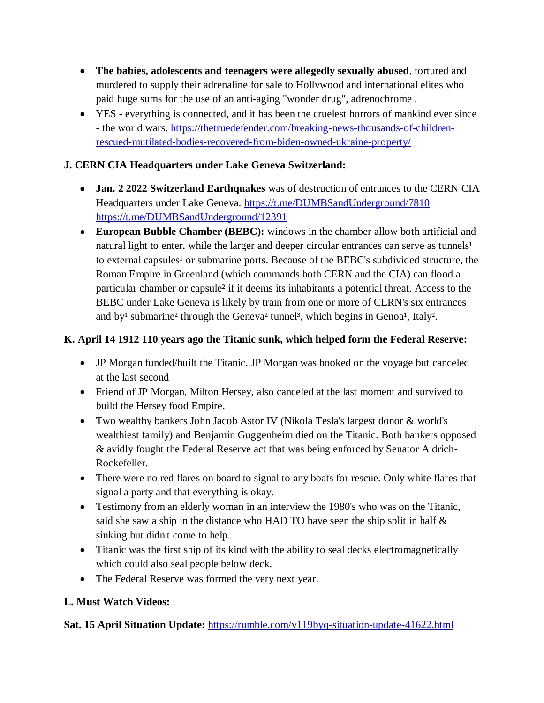- **The babies, adolescents and teenagers were allegedly sexually abused**, tortured and murdered to supply their adrenaline for sale to Hollywood and international elites who paid huge sums for the use of an anti-aging "wonder drug", adrenochrome .
- YES everything is connected, and it has been the cruelest horrors of mankind ever since - the world wars. [https://thetruedefender.com/breaking-news-thousands-of-children](https://thetruedefender.com/breaking-news-thousands-of-children-rescued-mutilated-bodies-recovered-from-biden-owned-ukraine-property/)[rescued-mutilated-bodies-recovered-from-biden-owned-ukraine-property/](https://thetruedefender.com/breaking-news-thousands-of-children-rescued-mutilated-bodies-recovered-from-biden-owned-ukraine-property/)

# **J. CERN CIA Headquarters under Lake Geneva Switzerland:**

- **Jan. 2 2022 Switzerland Earthquakes** was of destruction of entrances to the CERN CIA Headquarters under Lake Geneva. <https://t.me/DUMBSandUnderground/7810> <https://t.me/DUMBSandUnderground/12391>
- **European Bubble Chamber (BEBC):** windows in the chamber allow both artificial and natural light to enter, while the larger and deeper circular entrances can serve as tunnels<sup>1</sup> to external capsules<sup>1</sup> or submarine ports. Because of the BEBC's subdivided structure, the Roman Empire in Greenland (which commands both CERN and the CIA) can flood a particular chamber or capsule² if it deems its inhabitants a potential threat. Access to the BEBC under Lake Geneva is likely by train from one or more of CERN's six entrances and by<sup>1</sup> submarine<sup>2</sup> through the Geneva<sup>2</sup> tunne<sup>13</sup>, which begins in Genoa<sup>1</sup>, Italy<sup>2</sup>.

# **K. April 14 1912 110 years ago the Titanic sunk, which helped form the Federal Reserve:**

- JP Morgan funded/built the Titanic. JP Morgan was booked on the voyage but canceled at the last second
- Friend of JP Morgan, Milton Hersey, also canceled at the last moment and survived to build the Hersey food Empire.
- Two wealthy bankers John Jacob Astor IV (Nikola Tesla's largest donor & world's wealthiest family) and Benjamin Guggenheim died on the Titanic. Both bankers opposed & avidly fought the Federal Reserve act that was being enforced by Senator Aldrich-Rockefeller.
- There were no red flares on board to signal to any boats for rescue. Only white flares that signal a party and that everything is okay.
- Testimony from an elderly woman in an interview the 1980's who was on the Titanic, said she saw a ship in the distance who HAD TO have seen the ship split in half & sinking but didn't come to help.
- Titanic was the first ship of its kind with the ability to seal decks electromagnetically which could also seal people below deck.
- The Federal Reserve was formed the very next year.

# **L. Must Watch Videos:**

**Sat. 15 April Situation Update:** <https://rumble.com/v119byq-situation-update-41622.html>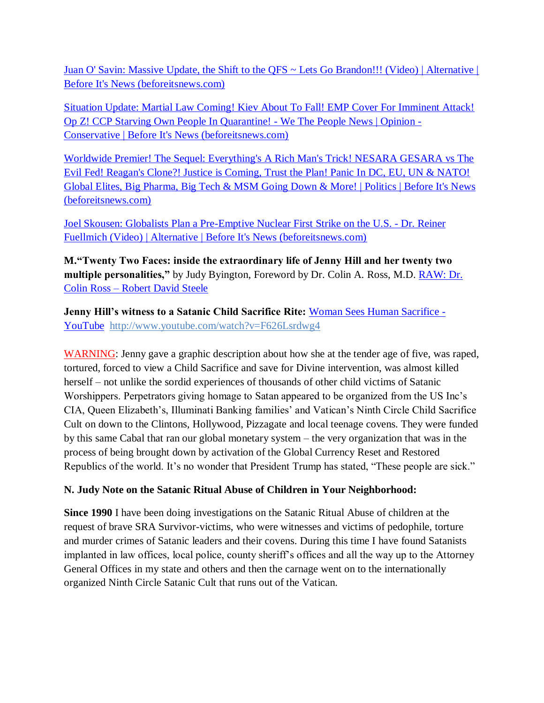[Juan O' Savin: Massive Update, the Shift to the QFS ~ Lets Go Brandon!!! \(Video\) | Alternative |](https://beforeitsnews.com/alternative/2022/04/juan-o-savin-massive-update-the-shift-to-the-qfs-lets-go-brandon-video-3771223.html)  [Before It's News \(beforeitsnews.com\)](https://beforeitsnews.com/alternative/2022/04/juan-o-savin-massive-update-the-shift-to-the-qfs-lets-go-brandon-video-3771223.html)

Situation Update: Martial Law Coming! Kiev About To Fall! EMP Cover For Imminent Attack! [Op Z! CCP Starving Own People In Quarantine! -](https://beforeitsnews.com/opinion-conservative/2022/04/situation-update-martial-law-coming-kiev-about-to-fall-emp-cover-for-imminent-attack-op-z-ccp-starving-own-people-in-quarantine-we-the-people-news-3625877.html) We The People News | Opinion - [Conservative | Before It's News \(beforeitsnews.com\)](https://beforeitsnews.com/opinion-conservative/2022/04/situation-update-martial-law-coming-kiev-about-to-fall-emp-cover-for-imminent-attack-op-z-ccp-starving-own-people-in-quarantine-we-the-people-news-3625877.html)

[Worldwide Premier! The Sequel: Everything's A Rich Man's Trick! NESARA GESARA vs The](https://beforeitsnews.com/politics/2022/04/worldwide-premier-the-sequel-everythings-a-rich-mans-trick-panic-in-dc-nesara-gesara-in-force-big-pharma-big-tech-going-down-dirty-little-secrets-of-obama-bush-rothschild-queen-el-3260559.html)  [Evil Fed! Reagan's Clone?! Justice is Coming, Trust the Plan! Panic In DC, EU, UN & NATO!](https://beforeitsnews.com/politics/2022/04/worldwide-premier-the-sequel-everythings-a-rich-mans-trick-panic-in-dc-nesara-gesara-in-force-big-pharma-big-tech-going-down-dirty-little-secrets-of-obama-bush-rothschild-queen-el-3260559.html)  [Global Elites, Big Pharma, Big Tech & MSM Going Down & More! | Politics | Before It's News](https://beforeitsnews.com/politics/2022/04/worldwide-premier-the-sequel-everythings-a-rich-mans-trick-panic-in-dc-nesara-gesara-in-force-big-pharma-big-tech-going-down-dirty-little-secrets-of-obama-bush-rothschild-queen-el-3260559.html)  [\(beforeitsnews.com\)](https://beforeitsnews.com/politics/2022/04/worldwide-premier-the-sequel-everythings-a-rich-mans-trick-panic-in-dc-nesara-gesara-in-force-big-pharma-big-tech-going-down-dirty-little-secrets-of-obama-bush-rothschild-queen-el-3260559.html)

[Joel Skousen: Globalists Plan a Pre-Emptive Nuclear First Strike on the U.S. -](https://beforeitsnews.com/alternative/2022/04/joel-skousen-globalists-plan-a-pre-emptive-nuclear-first-strike-on-the-u-s-dr-reiner-fuellmich-video-3771227.html) Dr. Reiner [Fuellmich \(Video\) | Alternative | Before It's News \(beforeitsnews.com\)](https://beforeitsnews.com/alternative/2022/04/joel-skousen-globalists-plan-a-pre-emptive-nuclear-first-strike-on-the-u-s-dr-reiner-fuellmich-video-3771227.html)

**M."Twenty Two Faces: inside the extraordinary life of Jenny Hill and her twenty two multiple personalities,"** by Judy Byington, Foreword by Dr. Colin A. Ross, M.D. **RAW: Dr.** Colin Ross – [Robert David Steele](https://robertdavidsteele.com/dr-colin-ross/)

**Jenny Hill's witness to a Satanic Child Sacrifice Rite: [Woman Sees Human Sacrifice -](https://www.youtube.com/watch?v=F626Lsrdwg4)** [YouTube http://www.youtube.com/watch?v=F626Lsrdwg4](https://www.youtube.com/watch?v=F626Lsrdwg4)

WARNING: Jenny gave a graphic description about how she at the tender age of five, was raped, tortured, forced to view a Child Sacrifice and save for Divine intervention, was almost killed herself – not unlike the sordid experiences of thousands of other child victims of Satanic Worshippers. Perpetrators giving homage to Satan appeared to be organized from the US Inc's CIA, Queen Elizabeth's, Illuminati Banking families' and Vatican's Ninth Circle Child Sacrifice Cult on down to the Clintons, Hollywood, Pizzagate and local teenage covens. They were funded by this same Cabal that ran our global monetary system – the very organization that was in the process of being brought down by activation of the Global Currency Reset and Restored Republics of the world. It's no wonder that President Trump has stated, "These people are sick."

## **N. Judy Note on the Satanic Ritual Abuse of Children in Your Neighborhood:**

**Since 1990** I have been doing investigations on the Satanic Ritual Abuse of children at the request of brave SRA Survivor-victims, who were witnesses and victims of pedophile, torture and murder crimes of Satanic leaders and their covens. During this time I have found Satanists implanted in law offices, local police, county sheriff's offices and all the way up to the Attorney General Offices in my state and others and then the carnage went on to the internationally organized Ninth Circle Satanic Cult that runs out of the Vatican.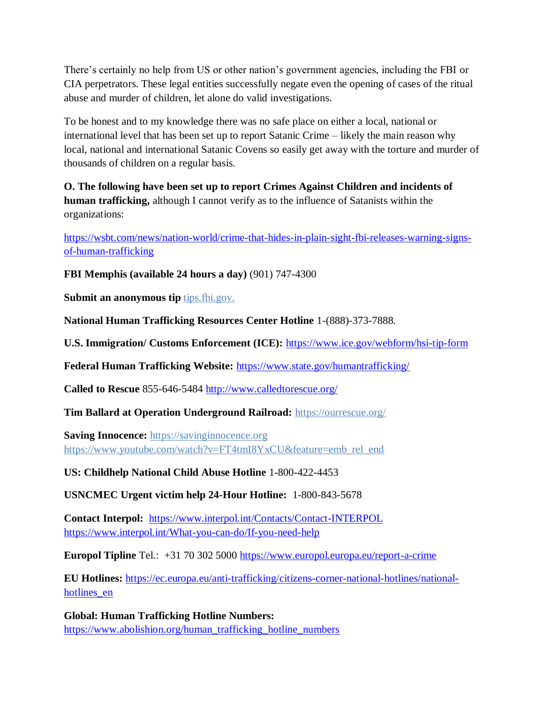There's certainly no help from US or other nation's government agencies, including the FBI or CIA perpetrators. These legal entities successfully negate even the opening of cases of the ritual abuse and murder of children, let alone do valid investigations.

To be honest and to my knowledge there was no safe place on either a local, national or international level that has been set up to report Satanic Crime – likely the main reason why local, national and international Satanic Covens so easily get away with the torture and murder of thousands of children on a regular basis.

**O. The following have been set up to report Crimes Against Children and incidents of human trafficking,** although I cannot verify as to the influence of Satanists within the organizations:

[https://wsbt.com/news/nation-world/crime-that-hides-in-plain-sight-fbi-releases-warning-signs](https://wsbt.com/news/nation-world/crime-that-hides-in-plain-sight-fbi-releases-warning-signs-of-human-trafficking?video=e56ba52a1b9d45ad8c8a033fd83fe480&jwsource=cl)[of-human-trafficking](https://wsbt.com/news/nation-world/crime-that-hides-in-plain-sight-fbi-releases-warning-signs-of-human-trafficking?video=e56ba52a1b9d45ad8c8a033fd83fe480&jwsource=cl)

**FBI Memphis (available 24 hours a day)** (901) 747-4300

**Submit an anonymous tip tips.fbi.gov.** 

**National Human Trafficking Resources Center Hotline** 1-(888)-373-7888.

**U.S. Immigration/ Customs Enforcement (ICE):** <https://www.ice.gov/webform/hsi-tip-form>

**Federal Human Trafficking Website:** <https://www.state.gov/humantrafficking/>

**Called to Rescue** 855-646-5484<http://www.calledtorescue.org/>

**Tim Ballard at Operation Underground Railroad:** <https://ourrescue.org/>

**Saving Innocence:** [https://savinginnocence.org](https://savinginnocence.org/) [https://www.youtube.com/watch?v=FT4tmI8YxCU&feature=emb\\_rel\\_end](https://www.youtube.com/watch?v=FT4tmI8YxCU&feature=emb_rel_end)

**US: Childhelp National Child Abuse Hotline** 1-800-422-4453

**USNCMEC Urgent victim help 24-Hour Hotline:** 1-800-843-5678

**Contact Interpol:** <https://www.interpol.int/Contacts/Contact-INTERPOL> <https://www.interpol.int/What-you-can-do/If-you-need-help>

**Europol Tipline** Tel.: +31 70 302 5000<https://www.europol.europa.eu/report-a-crime>

**EU Hotlines:** [https://ec.europa.eu/anti-trafficking/citizens-corner-national-hotlines/national](https://ec.europa.eu/anti-trafficking/citizens-corner-national-hotlines/national-hotlines_en)hotlines en

**Global: Human Trafficking Hotline Numbers:** [https://www.abolishion.org/human\\_trafficking\\_hotline\\_numbers](https://www.abolishion.org/human_trafficking_hotline_numbers)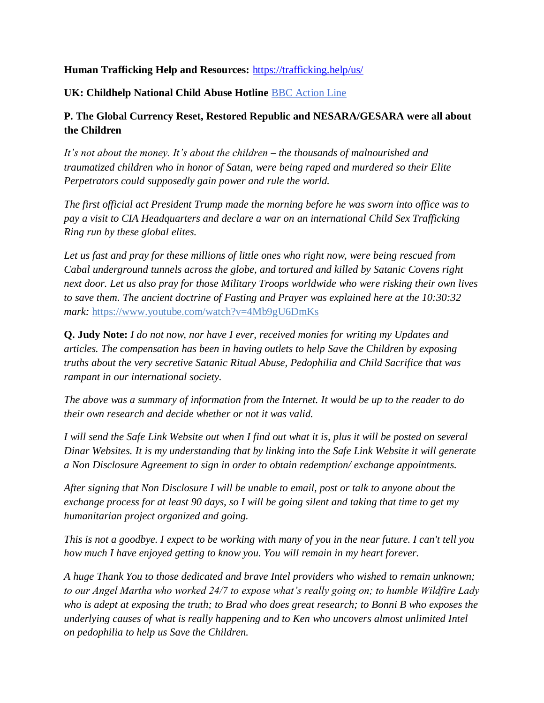### **Human Trafficking Help and Resources:** <https://trafficking.help/us/>

#### **UK: Childhelp National Child Abuse Hotline** [BBC Action Line](https://www.bbc.co.uk/actionline)

## **P. The Global Currency Reset, Restored Republic and NESARA/GESARA were all about the Children**

*It's not about the money. It's about the children – the thousands of malnourished and traumatized children who in honor of Satan, were being raped and murdered so their Elite Perpetrators could supposedly gain power and rule the world.* 

*The first official act President Trump made the morning before he was sworn into office was to pay a visit to CIA Headquarters and declare a war on an international Child Sex Trafficking Ring run by these global elites.* 

*Let us fast and pray for these millions of little ones who right now, were being rescued from Cabal underground tunnels across the globe, and tortured and killed by Satanic Covens right next door. Let us also pray for those Military Troops worldwide who were risking their own lives to save them. The ancient doctrine of Fasting and Prayer was explained here at the 10:30:32 mark:* <https://www.youtube.com/watch?v=4Mb9gU6DmKs>

**Q. Judy Note:** *I do not now, nor have I ever, received monies for writing my Updates and articles. The compensation has been in having outlets to help Save the Children by exposing truths about the very secretive Satanic Ritual Abuse, Pedophilia and Child Sacrifice that was rampant in our international society.*

*The above was a summary of information from the Internet. It would be up to the reader to do their own research and decide whether or not it was valid.*

*I will send the Safe Link Website out when I find out what it is, plus it will be posted on several Dinar Websites. It is my understanding that by linking into the Safe Link Website it will generate a Non Disclosure Agreement to sign in order to obtain redemption/ exchange appointments.*

*After signing that Non Disclosure I will be unable to email, post or talk to anyone about the exchange process for at least 90 days, so I will be going silent and taking that time to get my humanitarian project organized and going.*

*This is not a goodbye. I expect to be working with many of you in the near future. I can't tell you how much I have enjoyed getting to know you. You will remain in my heart forever.*

*A huge Thank You to those dedicated and brave Intel providers who wished to remain unknown; to our Angel Martha who worked 24/7 to expose what's really going on; to humble Wildfire Lady who is adept at exposing the truth; to Brad who does great research; to Bonni B who exposes the underlying causes of what is really happening and to Ken who uncovers almost unlimited Intel on pedophilia to help us Save the Children.*